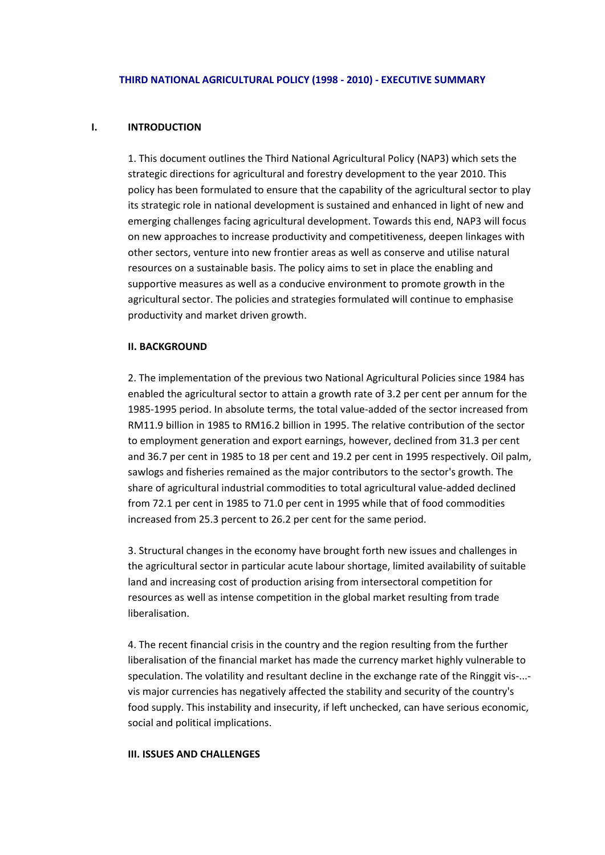#### **THIRD NATIONAL AGRICULTURAL POLICY (1998 ‐ 2010) ‐ EXECUTIVE SUMMARY**

## **I. INTRODUCTION**

1. This document outlines the Third National Agricultural Policy (NAP3) which sets the strategic directions for agricultural and forestry development to the year 2010. This policy has been formulated to ensure that the capability of the agricultural sector to play its strategic role in national development is sustained and enhanced in light of new and emerging challenges facing agricultural development. Towards this end, NAP3 will focus on new approaches to increase productivity and competitiveness, deepen linkages with other sectors, venture into new frontier areas as well as conserve and utilise natural resources on a sustainable basis. The policy aims to set in place the enabling and supportive measures as well as a conducive environment to promote growth in the agricultural sector. The policies and strategies formulated will continue to emphasise productivity and market driven growth.

#### **II. BACKGROUND**

2. The implementation of the previous two National Agricultural Policies since 1984 has enabled the agricultural sector to attain a growth rate of 3.2 per cent per annum for the 1985-1995 period. In absolute terms, the total value-added of the sector increased from RM11.9 billion in 1985 to RM16.2 billion in 1995. The relative contribution of the sector to employment generation and export earnings, however, declined from 31.3 per cent and 36.7 per cent in 1985 to 18 per cent and 19.2 per cent in 1995 respectively. Oil palm, sawlogs and fisheries remained as the major contributors to the sector's growth. The share of agricultural industrial commodities to total agricultural value‐added declined from 72.1 per cent in 1985 to 71.0 per cent in 1995 while that of food commodities increased from 25.3 percent to 26.2 per cent for the same period.

3. Structural changes in the economy have brought forth new issues and challenges in the agricultural sector in particular acute labour shortage, limited availability of suitable land and increasing cost of production arising from intersectoral competition for resources as well as intense competition in the global market resulting from trade liberalisation.

4. The recent financial crisis in the country and the region resulting from the further liberalisation of the financial market has made the currency market highly vulnerable to speculation. The volatility and resultant decline in the exchange rate of the Ringgit vis-...vis major currencies has negatively affected the stability and security of the country's food supply. This instability and insecurity, if left unchecked, can have serious economic, social and political implications.

#### **III. ISSUES AND CHALLENGES**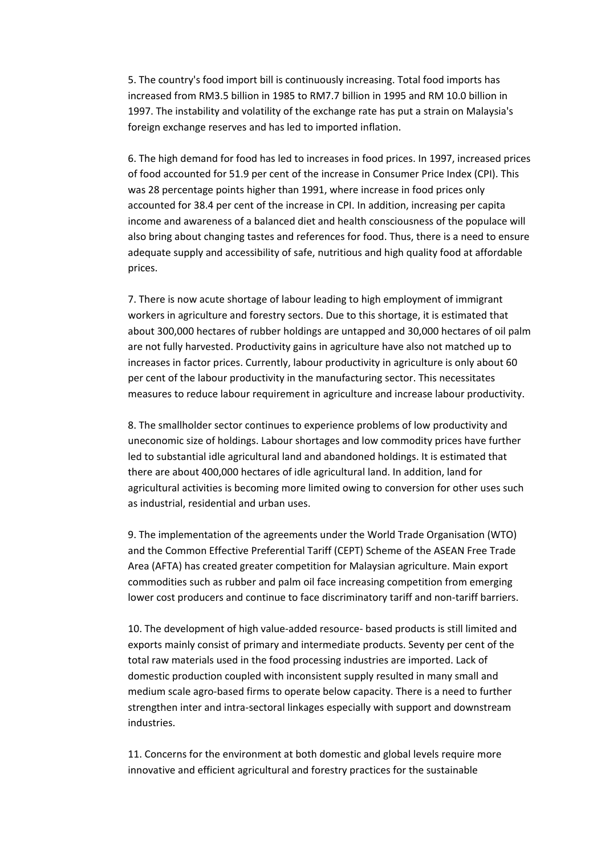5. The country's food import bill is continuously increasing. Total food imports has increased from RM3.5 billion in 1985 to RM7.7 billion in 1995 and RM 10.0 billion in 1997. The instability and volatility of the exchange rate has put a strain on Malaysia's foreign exchange reserves and has led to imported inflation.

6. The high demand for food has led to increases in food prices. In 1997, increased prices of food accounted for 51.9 per cent of the increase in Consumer Price Index (CPI). This was 28 percentage points higher than 1991, where increase in food prices only accounted for 38.4 per cent of the increase in CPI. In addition, increasing per capita income and awareness of a balanced diet and health consciousness of the populace will also bring about changing tastes and references for food. Thus, there is a need to ensure adequate supply and accessibility of safe, nutritious and high quality food at affordable prices.

7. There is now acute shortage of labour leading to high employment of immigrant workers in agriculture and forestry sectors. Due to this shortage, it is estimated that about 300,000 hectares of rubber holdings are untapped and 30,000 hectares of oil palm are not fully harvested. Productivity gains in agriculture have also not matched up to increases in factor prices. Currently, labour productivity in agriculture is only about 60 per cent of the labour productivity in the manufacturing sector. This necessitates measures to reduce labour requirement in agriculture and increase labour productivity.

8. The smallholder sector continues to experience problems of low productivity and uneconomic size of holdings. Labour shortages and low commodity prices have further led to substantial idle agricultural land and abandoned holdings. It is estimated that there are about 400,000 hectares of idle agricultural land. In addition, land for agricultural activities is becoming more limited owing to conversion for other uses such as industrial, residential and urban uses.

9. The implementation of the agreements under the World Trade Organisation (WTO) and the Common Effective Preferential Tariff (CEPT) Scheme of the ASEAN Free Trade Area (AFTA) has created greater competition for Malaysian agriculture. Main export commodities such as rubber and palm oil face increasing competition from emerging lower cost producers and continue to face discriminatory tariff and non-tariff barriers.

10. The development of high value‐added resource‐ based products is still limited and exports mainly consist of primary and intermediate products. Seventy per cent of the total raw materials used in the food processing industries are imported. Lack of domestic production coupled with inconsistent supply resulted in many small and medium scale agro‐based firms to operate below capacity. There is a need to further strengthen inter and intra‐sectoral linkages especially with support and downstream industries.

11. Concerns for the environment at both domestic and global levels require more innovative and efficient agricultural and forestry practices for the sustainable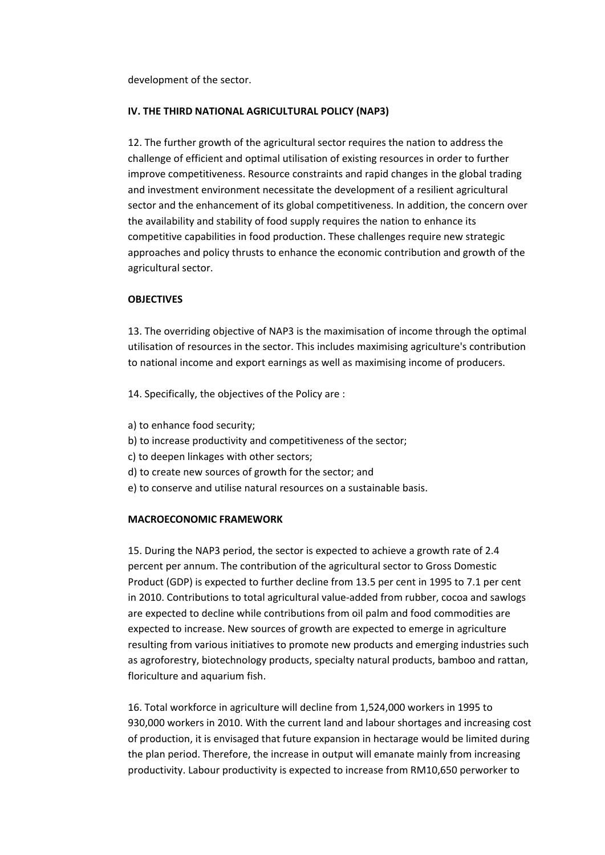development of the sector.

# **IV. THE THIRD NATIONAL AGRICULTURAL POLICY (NAP3)**

12. The further growth of the agricultural sector requires the nation to address the challenge of efficient and optimal utilisation of existing resources in order to further improve competitiveness. Resource constraints and rapid changes in the global trading and investment environment necessitate the development of a resilient agricultural sector and the enhancement of its global competitiveness. In addition, the concern over the availability and stability of food supply requires the nation to enhance its competitive capabilities in food production. These challenges require new strategic approaches and policy thrusts to enhance the economic contribution and growth of the agricultural sector.

# **OBJECTIVES**

13. The overriding objective of NAP3 is the maximisation of income through the optimal utilisation of resources in the sector. This includes maximising agriculture's contribution to national income and export earnings as well as maximising income of producers.

14. Specifically, the objectives of the Policy are :

- a) to enhance food security;
- b) to increase productivity and competitiveness of the sector;
- c) to deepen linkages with other sectors;
- d) to create new sources of growth for the sector; and
- e) to conserve and utilise natural resources on a sustainable basis.

# **MACROECONOMIC FRAMEWORK**

15. During the NAP3 period, the sector is expected to achieve a growth rate of 2.4 percent per annum. The contribution of the agricultural sector to Gross Domestic Product (GDP) is expected to further decline from 13.5 per cent in 1995 to 7.1 per cent in 2010. Contributions to total agricultural value‐added from rubber, cocoa and sawlogs are expected to decline while contributions from oil palm and food commodities are expected to increase. New sources of growth are expected to emerge in agriculture resulting from various initiatives to promote new products and emerging industries such as agroforestry, biotechnology products, specialty natural products, bamboo and rattan, floriculture and aquarium fish.

16. Total workforce in agriculture will decline from 1,524,000 workers in 1995 to 930,000 workers in 2010. With the current land and labour shortages and increasing cost of production, it is envisaged that future expansion in hectarage would be limited during the plan period. Therefore, the increase in output will emanate mainly from increasing productivity. Labour productivity is expected to increase from RM10,650 perworker to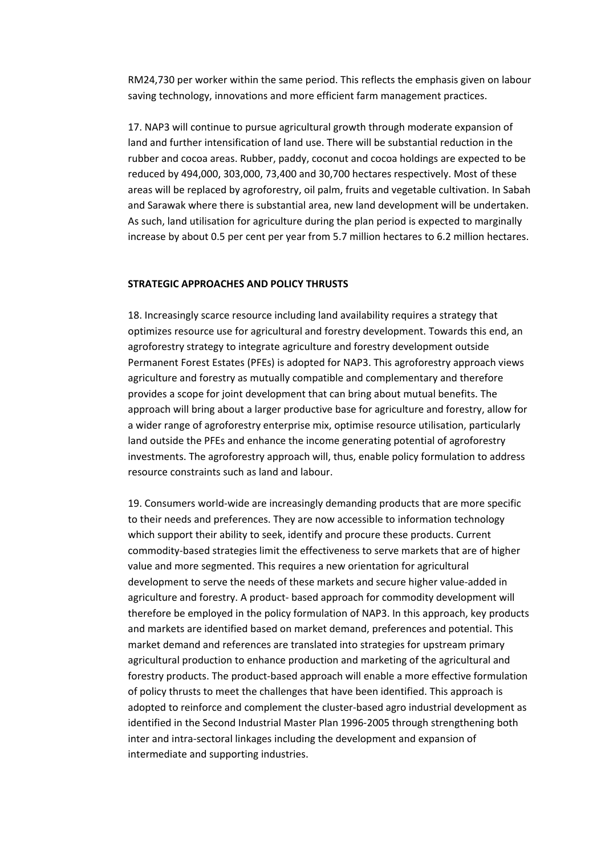RM24,730 per worker within the same period. This reflects the emphasis given on labour saving technology, innovations and more efficient farm management practices.

17. NAP3 will continue to pursue agricultural growth through moderate expansion of land and further intensification of land use. There will be substantial reduction in the rubber and cocoa areas. Rubber, paddy, coconut and cocoa holdings are expected to be reduced by 494,000, 303,000, 73,400 and 30,700 hectares respectively. Most of these areas will be replaced by agroforestry, oil palm, fruits and vegetable cultivation. In Sabah and Sarawak where there is substantial area, new land development will be undertaken. As such, land utilisation for agriculture during the plan period is expected to marginally increase by about 0.5 per cent per year from 5.7 million hectares to 6.2 million hectares.

### **STRATEGIC APPROACHES AND POLICY THRUSTS**

18. Increasingly scarce resource including land availability requires a strategy that optimizes resource use for agricultural and forestry development. Towards this end, an agroforestry strategy to integrate agriculture and forestry development outside Permanent Forest Estates (PFEs) is adopted for NAP3. This agroforestry approach views agriculture and forestry as mutually compatible and complementary and therefore provides a scope for joint development that can bring about mutual benefits. The approach will bring about a larger productive base for agriculture and forestry, allow for a wider range of agroforestry enterprise mix, optimise resource utilisation, particularly land outside the PFEs and enhance the income generating potential of agroforestry investments. The agroforestry approach will, thus, enable policy formulation to address resource constraints such as land and labour.

19. Consumers world‐wide are increasingly demanding products that are more specific to their needs and preferences. They are now accessible to information technology which support their ability to seek, identify and procure these products. Current commodity‐based strategies limit the effectiveness to serve markets that are of higher value and more segmented. This requires a new orientation for agricultural development to serve the needs of these markets and secure higher value‐added in agriculture and forestry. A product‐ based approach for commodity development will therefore be employed in the policy formulation of NAP3. In this approach, key products and markets are identified based on market demand, preferences and potential. This market demand and references are translated into strategies for upstream primary agricultural production to enhance production and marketing of the agricultural and forestry products. The product-based approach will enable a more effective formulation of policy thrusts to meet the challenges that have been identified. This approach is adopted to reinforce and complement the cluster‐based agro industrial development as identified in the Second Industrial Master Plan 1996‐2005 through strengthening both inter and intra‐sectoral linkages including the development and expansion of intermediate and supporting industries.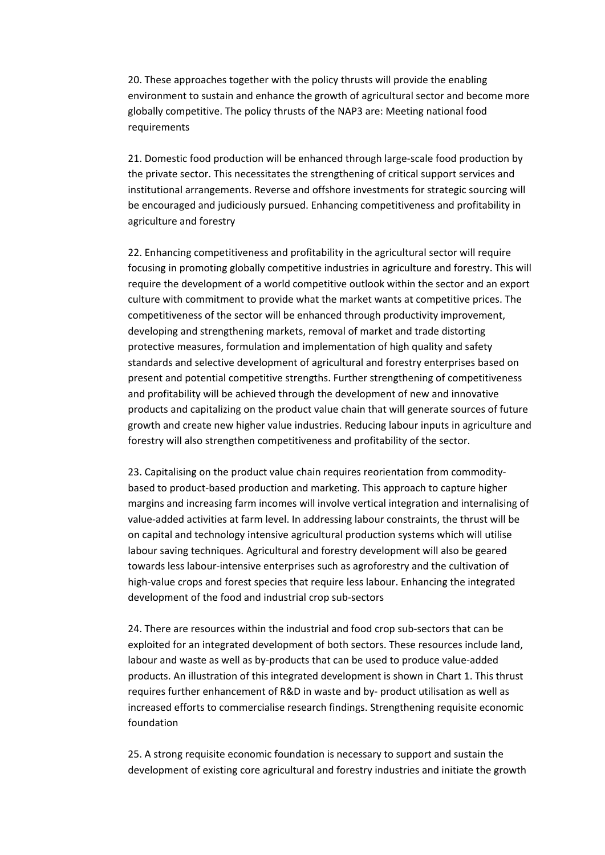20. These approaches together with the policy thrusts will provide the enabling environment to sustain and enhance the growth of agricultural sector and become more globally competitive. The policy thrusts of the NAP3 are: Meeting national food requirements

21. Domestic food production will be enhanced through large‐scale food production by the private sector. This necessitates the strengthening of critical support services and institutional arrangements. Reverse and offshore investments for strategic sourcing will be encouraged and judiciously pursued. Enhancing competitiveness and profitability in agriculture and forestry

22. Enhancing competitiveness and profitability in the agricultural sector will require focusing in promoting globally competitive industries in agriculture and forestry. This will require the development of a world competitive outlook within the sector and an export culture with commitment to provide what the market wants at competitive prices. The competitiveness of the sector will be enhanced through productivity improvement, developing and strengthening markets, removal of market and trade distorting protective measures, formulation and implementation of high quality and safety standards and selective development of agricultural and forestry enterprises based on present and potential competitive strengths. Further strengthening of competitiveness and profitability will be achieved through the development of new and innovative products and capitalizing on the product value chain that will generate sources of future growth and create new higher value industries. Reducing labour inputs in agriculture and forestry will also strengthen competitiveness and profitability of the sector.

23. Capitalising on the product value chain requires reorientation from commodity‐ based to product‐based production and marketing. This approach to capture higher margins and increasing farm incomes will involve vertical integration and internalising of value‐added activities at farm level. In addressing labour constraints, the thrust will be on capital and technology intensive agricultural production systems which will utilise labour saving techniques. Agricultural and forestry development will also be geared towards less labour‐intensive enterprises such as agroforestry and the cultivation of high-value crops and forest species that require less labour. Enhancing the integrated development of the food and industrial crop sub‐sectors

24. There are resources within the industrial and food crop sub‐sectors that can be exploited for an integrated development of both sectors. These resources include land, labour and waste as well as by‐products that can be used to produce value‐added products. An illustration of this integrated development is shown in Chart 1. This thrust requires further enhancement of R&D in waste and by‐ product utilisation as well as increased efforts to commercialise research findings. Strengthening requisite economic foundation

25. A strong requisite economic foundation is necessary to support and sustain the development of existing core agricultural and forestry industries and initiate the growth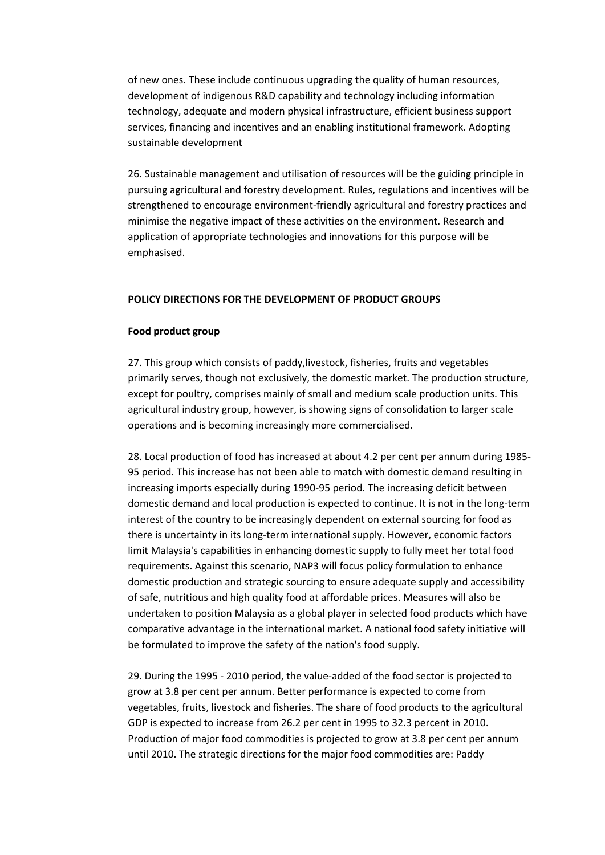of new ones. These include continuous upgrading the quality of human resources, development of indigenous R&D capability and technology including information technology, adequate and modern physical infrastructure, efficient business support services, financing and incentives and an enabling institutional framework. Adopting sustainable development

26. Sustainable management and utilisation of resources will be the guiding principle in pursuing agricultural and forestry development. Rules, regulations and incentives will be strengthened to encourage environment‐friendly agricultural and forestry practices and minimise the negative impact of these activities on the environment. Research and application of appropriate technologies and innovations for this purpose will be emphasised.

## **POLICY DIRECTIONS FOR THE DEVELOPMENT OF PRODUCT GROUPS**

### **Food product group**

27. This group which consists of paddy,livestock, fisheries, fruits and vegetables primarily serves, though not exclusively, the domestic market. The production structure, except for poultry, comprises mainly of small and medium scale production units. This agricultural industry group, however, is showing signs of consolidation to larger scale operations and is becoming increasingly more commercialised.

28. Local production of food has increased at about 4.2 per cent per annum during 1985‐ 95 period. This increase has not been able to match with domestic demand resulting in increasing imports especially during 1990‐95 period. The increasing deficit between domestic demand and local production is expected to continue. It is not in the long-term interest of the country to be increasingly dependent on external sourcing for food as there is uncertainty in its long‐term international supply. However, economic factors limit Malaysia's capabilities in enhancing domestic supply to fully meet her total food requirements. Against this scenario, NAP3 will focus policy formulation to enhance domestic production and strategic sourcing to ensure adequate supply and accessibility of safe, nutritious and high quality food at affordable prices. Measures will also be undertaken to position Malaysia as a global player in selected food products which have comparative advantage in the international market. A national food safety initiative will be formulated to improve the safety of the nation's food supply.

29. During the 1995 ‐ 2010 period, the value‐added of the food sector is projected to grow at 3.8 per cent per annum. Better performance is expected to come from vegetables, fruits, livestock and fisheries. The share of food products to the agricultural GDP is expected to increase from 26.2 per cent in 1995 to 32.3 percent in 2010. Production of major food commodities is projected to grow at 3.8 per cent per annum until 2010. The strategic directions for the major food commodities are: Paddy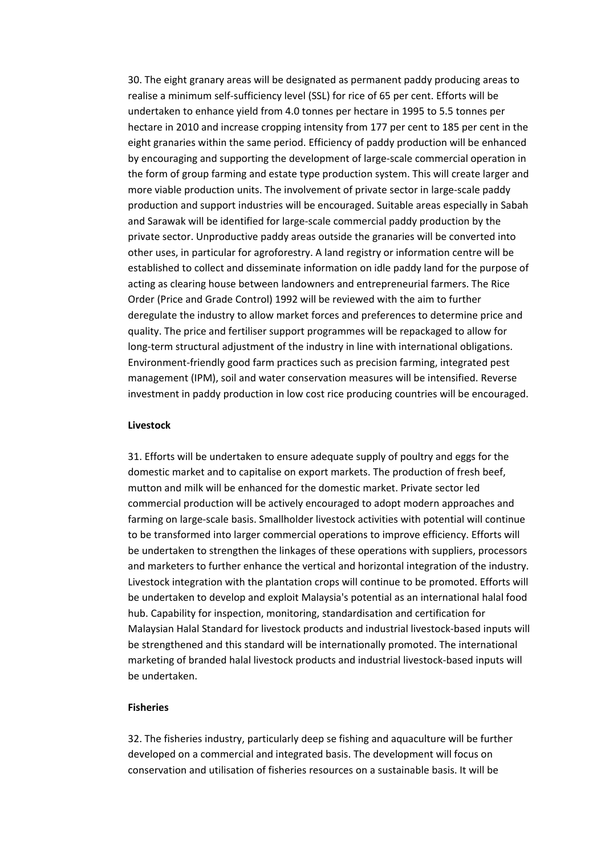30. The eight granary areas will be designated as permanent paddy producing areas to realise a minimum self-sufficiency level (SSL) for rice of 65 per cent. Efforts will be undertaken to enhance yield from 4.0 tonnes per hectare in 1995 to 5.5 tonnes per hectare in 2010 and increase cropping intensity from 177 per cent to 185 per cent in the eight granaries within the same period. Efficiency of paddy production will be enhanced by encouraging and supporting the development of large‐scale commercial operation in the form of group farming and estate type production system. This will create larger and more viable production units. The involvement of private sector in large-scale paddy production and support industries will be encouraged. Suitable areas especially in Sabah and Sarawak will be identified for large-scale commercial paddy production by the private sector. Unproductive paddy areas outside the granaries will be converted into other uses, in particular for agroforestry. A land registry or information centre will be established to collect and disseminate information on idle paddy land for the purpose of acting as clearing house between landowners and entrepreneurial farmers. The Rice Order (Price and Grade Control) 1992 will be reviewed with the aim to further deregulate the industry to allow market forces and preferences to determine price and quality. The price and fertiliser support programmes will be repackaged to allow for long-term structural adjustment of the industry in line with international obligations. Environment‐friendly good farm practices such as precision farming, integrated pest management (IPM), soil and water conservation measures will be intensified. Reverse investment in paddy production in low cost rice producing countries will be encouraged.

#### **Livestock**

31. Efforts will be undertaken to ensure adequate supply of poultry and eggs for the domestic market and to capitalise on export markets. The production of fresh beef, mutton and milk will be enhanced for the domestic market. Private sector led commercial production will be actively encouraged to adopt modern approaches and farming on large-scale basis. Smallholder livestock activities with potential will continue to be transformed into larger commercial operations to improve efficiency. Efforts will be undertaken to strengthen the linkages of these operations with suppliers, processors and marketers to further enhance the vertical and horizontal integration of the industry. Livestock integration with the plantation crops will continue to be promoted. Efforts will be undertaken to develop and exploit Malaysia's potential as an international halal food hub. Capability for inspection, monitoring, standardisation and certification for Malaysian Halal Standard for livestock products and industrial livestock‐based inputs will be strengthened and this standard will be internationally promoted. The international marketing of branded halal livestock products and industrial livestock‐based inputs will be undertaken.

# **Fisheries**

32. The fisheries industry, particularly deep se fishing and aquaculture will be further developed on a commercial and integrated basis. The development will focus on conservation and utilisation of fisheries resources on a sustainable basis. It will be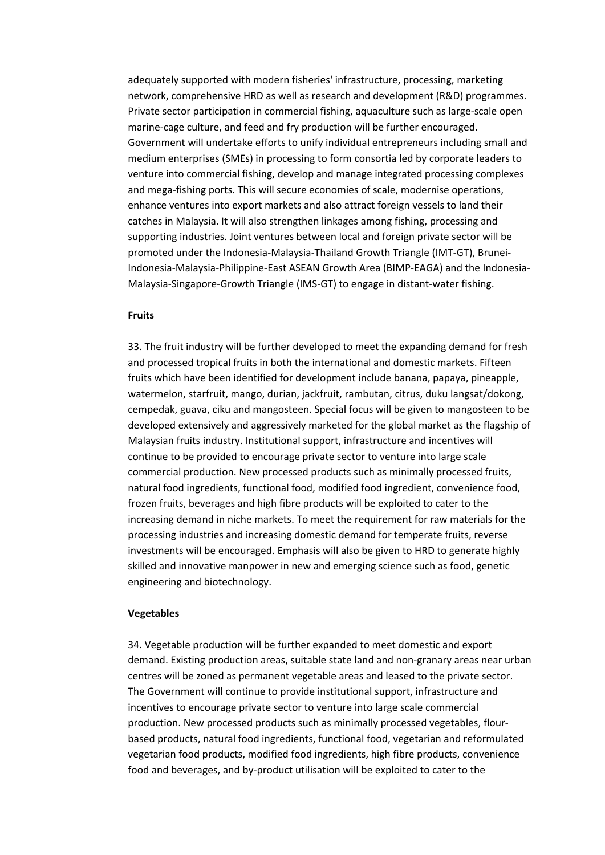adequately supported with modern fisheries' infrastructure, processing, marketing network, comprehensive HRD as well as research and development (R&D) programmes. Private sector participation in commercial fishing, aquaculture such as large‐scale open marine-cage culture, and feed and fry production will be further encouraged. Government will undertake efforts to unify individual entrepreneurs including small and medium enterprises (SMEs) in processing to form consortia led by corporate leaders to venture into commercial fishing, develop and manage integrated processing complexes and mega‐fishing ports. This will secure economies of scale, modernise operations, enhance ventures into export markets and also attract foreign vessels to land their catches in Malaysia. It will also strengthen linkages among fishing, processing and supporting industries. Joint ventures between local and foreign private sector will be promoted under the Indonesia‐Malaysia‐Thailand Growth Triangle (IMT‐GT), Brunei‐ Indonesia‐Malaysia‐Philippine‐East ASEAN Growth Area (BIMP‐EAGA) and the Indonesia‐ Malaysia‐Singapore‐Growth Triangle (IMS‐GT) to engage in distant‐water fishing.

### **Fruits**

33. The fruit industry will be further developed to meet the expanding demand for fresh and processed tropical fruits in both the international and domestic markets. Fifteen fruits which have been identified for development include banana, papaya, pineapple, watermelon, starfruit, mango, durian, jackfruit, rambutan, citrus, duku langsat/dokong, cempedak, guava, ciku and mangosteen. Special focus will be given to mangosteen to be developed extensively and aggressively marketed for the global market as the flagship of Malaysian fruits industry. Institutional support, infrastructure and incentives will continue to be provided to encourage private sector to venture into large scale commercial production. New processed products such as minimally processed fruits, natural food ingredients, functional food, modified food ingredient, convenience food, frozen fruits, beverages and high fibre products will be exploited to cater to the increasing demand in niche markets. To meet the requirement for raw materials for the processing industries and increasing domestic demand for temperate fruits, reverse investments will be encouraged. Emphasis will also be given to HRD to generate highly skilled and innovative manpower in new and emerging science such as food, genetic engineering and biotechnology.

#### **Vegetables**

34. Vegetable production will be further expanded to meet domestic and export demand. Existing production areas, suitable state land and non‐granary areas near urban centres will be zoned as permanent vegetable areas and leased to the private sector. The Government will continue to provide institutional support, infrastructure and incentives to encourage private sector to venture into large scale commercial production. New processed products such as minimally processed vegetables, flour‐ based products, natural food ingredients, functional food, vegetarian and reformulated vegetarian food products, modified food ingredients, high fibre products, convenience food and beverages, and by‐product utilisation will be exploited to cater to the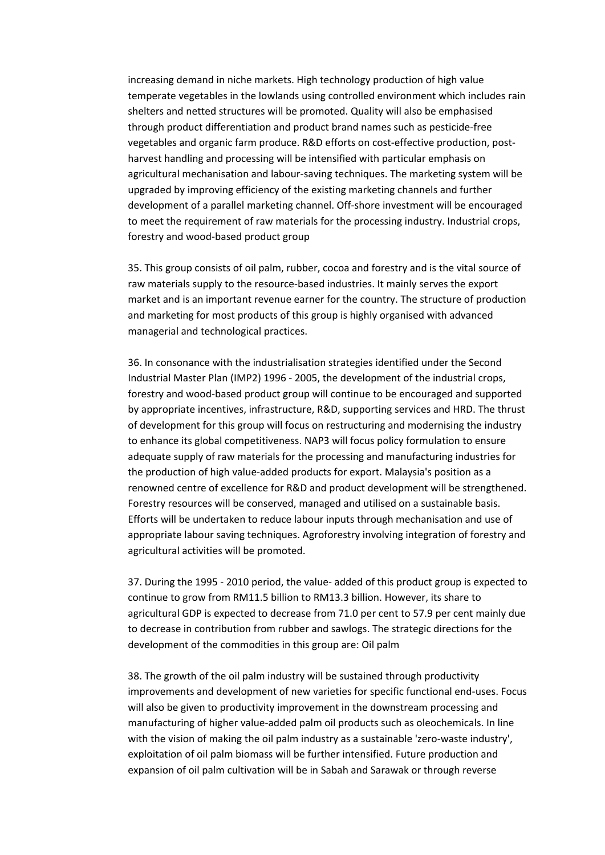increasing demand in niche markets. High technology production of high value temperate vegetables in the lowlands using controlled environment which includes rain shelters and netted structures will be promoted. Quality will also be emphasised through product differentiation and product brand names such as pesticide‐free vegetables and organic farm produce. R&D efforts on cost-effective production, postharvest handling and processing will be intensified with particular emphasis on agricultural mechanisation and labour‐saving techniques. The marketing system will be upgraded by improving efficiency of the existing marketing channels and further development of a parallel marketing channel. Off‐shore investment will be encouraged to meet the requirement of raw materials for the processing industry. Industrial crops, forestry and wood‐based product group

35. This group consists of oil palm, rubber, cocoa and forestry and is the vital source of raw materials supply to the resource-based industries. It mainly serves the export market and is an important revenue earner for the country. The structure of production and marketing for most products of this group is highly organised with advanced managerial and technological practices.

36. In consonance with the industrialisation strategies identified under the Second Industrial Master Plan (IMP2) 1996 ‐ 2005, the development of the industrial crops, forestry and wood‐based product group will continue to be encouraged and supported by appropriate incentives, infrastructure, R&D, supporting services and HRD. The thrust of development for this group will focus on restructuring and modernising the industry to enhance its global competitiveness. NAP3 will focus policy formulation to ensure adequate supply of raw materials for the processing and manufacturing industries for the production of high value‐added products for export. Malaysia's position as a renowned centre of excellence for R&D and product development will be strengthened. Forestry resources will be conserved, managed and utilised on a sustainable basis. Efforts will be undertaken to reduce labour inputs through mechanisation and use of appropriate labour saving techniques. Agroforestry involving integration of forestry and agricultural activities will be promoted.

37. During the 1995 ‐ 2010 period, the value‐ added of this product group is expected to continue to grow from RM11.5 billion to RM13.3 billion. However, its share to agricultural GDP is expected to decrease from 71.0 per cent to 57.9 per cent mainly due to decrease in contribution from rubber and sawlogs. The strategic directions for the development of the commodities in this group are: Oil palm

38. The growth of the oil palm industry will be sustained through productivity improvements and development of new varieties for specific functional end‐uses. Focus will also be given to productivity improvement in the downstream processing and manufacturing of higher value‐added palm oil products such as oleochemicals. In line with the vision of making the oil palm industry as a sustainable 'zero-waste industry', exploitation of oil palm biomass will be further intensified. Future production and expansion of oil palm cultivation will be in Sabah and Sarawak or through reverse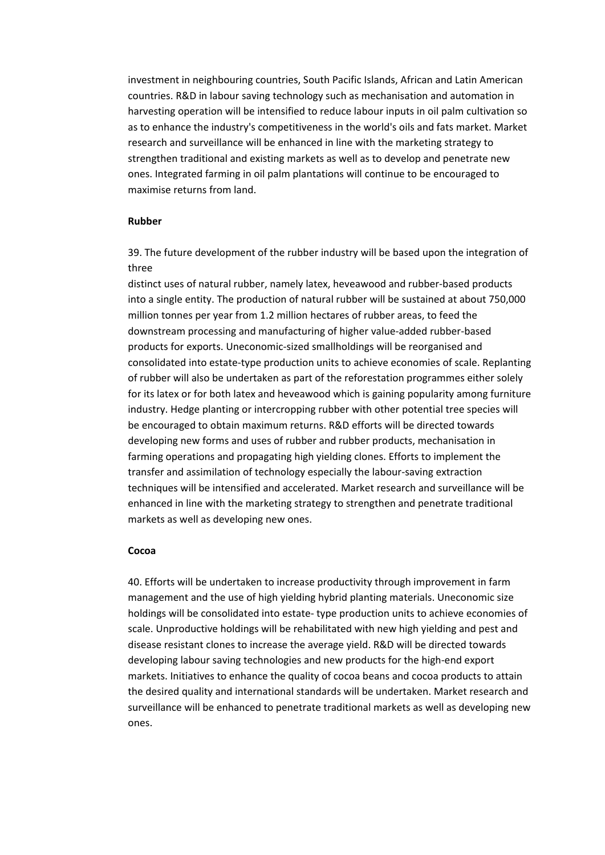investment in neighbouring countries, South Pacific Islands, African and Latin American countries. R&D in labour saving technology such as mechanisation and automation in harvesting operation will be intensified to reduce labour inputs in oil palm cultivation so as to enhance the industry's competitiveness in the world's oils and fats market. Market research and surveillance will be enhanced in line with the marketing strategy to strengthen traditional and existing markets as well as to develop and penetrate new ones. Integrated farming in oil palm plantations will continue to be encouraged to maximise returns from land.

# **Rubber**

39. The future development of the rubber industry will be based upon the integration of three

distinct uses of natural rubber, namely latex, heveawood and rubber‐based products into a single entity. The production of natural rubber will be sustained at about 750,000 million tonnes per year from 1.2 million hectares of rubber areas, to feed the downstream processing and manufacturing of higher value‐added rubber‐based products for exports. Uneconomic‐sized smallholdings will be reorganised and consolidated into estate‐type production units to achieve economies of scale. Replanting of rubber will also be undertaken as part of the reforestation programmes either solely for its latex or for both latex and heveawood which is gaining popularity among furniture industry. Hedge planting or intercropping rubber with other potential tree species will be encouraged to obtain maximum returns. R&D efforts will be directed towards developing new forms and uses of rubber and rubber products, mechanisation in farming operations and propagating high yielding clones. Efforts to implement the transfer and assimilation of technology especially the labour‐saving extraction techniques will be intensified and accelerated. Market research and surveillance will be enhanced in line with the marketing strategy to strengthen and penetrate traditional markets as well as developing new ones.

### **Cocoa**

40. Efforts will be undertaken to increase productivity through improvement in farm management and the use of high yielding hybrid planting materials. Uneconomic size holdings will be consolidated into estate‐ type production units to achieve economies of scale. Unproductive holdings will be rehabilitated with new high yielding and pest and disease resistant clones to increase the average yield. R&D will be directed towards developing labour saving technologies and new products for the high‐end export markets. Initiatives to enhance the quality of cocoa beans and cocoa products to attain the desired quality and international standards will be undertaken. Market research and surveillance will be enhanced to penetrate traditional markets as well as developing new ones.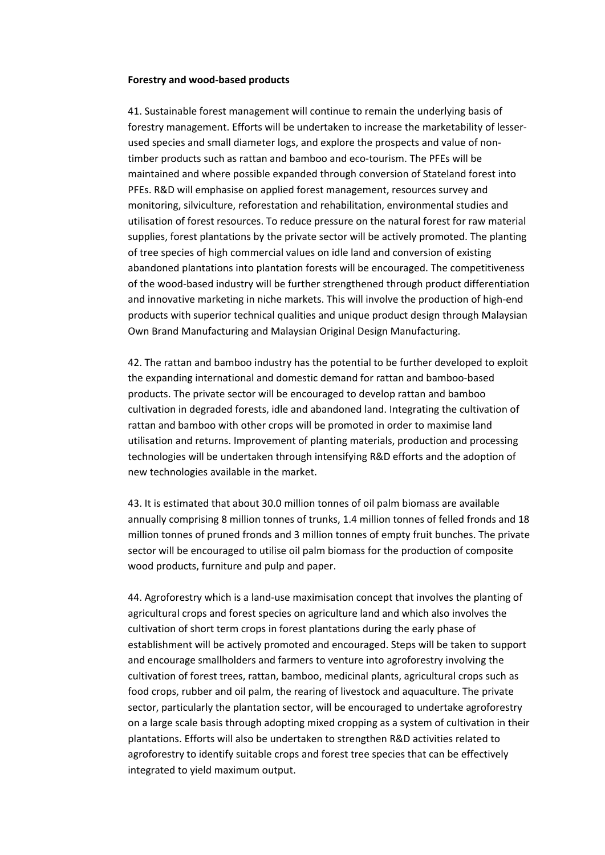#### **Forestry and wood‐based products**

41. Sustainable forest management will continue to remain the underlying basis of forestry management. Efforts will be undertaken to increase the marketability of lesser‐ used species and small diameter logs, and explore the prospects and value of non‐ timber products such as rattan and bamboo and eco-tourism. The PFEs will be maintained and where possible expanded through conversion of Stateland forest into PFEs. R&D will emphasise on applied forest management, resources survey and monitoring, silviculture, reforestation and rehabilitation, environmental studies and utilisation of forest resources. To reduce pressure on the natural forest for raw material supplies, forest plantations by the private sector will be actively promoted. The planting of tree species of high commercial values on idle land and conversion of existing abandoned plantations into plantation forests will be encouraged. The competitiveness of the wood‐based industry will be further strengthened through product differentiation and innovative marketing in niche markets. This will involve the production of high‐end products with superior technical qualities and unique product design through Malaysian Own Brand Manufacturing and Malaysian Original Design Manufacturing.

42. The rattan and bamboo industry has the potential to be further developed to exploit the expanding international and domestic demand for rattan and bamboo‐based products. The private sector will be encouraged to develop rattan and bamboo cultivation in degraded forests, idle and abandoned land. Integrating the cultivation of rattan and bamboo with other crops will be promoted in order to maximise land utilisation and returns. Improvement of planting materials, production and processing technologies will be undertaken through intensifying R&D efforts and the adoption of new technologies available in the market.

43. It is estimated that about 30.0 million tonnes of oil palm biomass are available annually comprising 8 million tonnes of trunks, 1.4 million tonnes of felled fronds and 18 million tonnes of pruned fronds and 3 million tonnes of empty fruit bunches. The private sector will be encouraged to utilise oil palm biomass for the production of composite wood products, furniture and pulp and paper.

44. Agroforestry which is a land-use maximisation concept that involves the planting of agricultural crops and forest species on agriculture land and which also involves the cultivation of short term crops in forest plantations during the early phase of establishment will be actively promoted and encouraged. Steps will be taken to support and encourage smallholders and farmers to venture into agroforestry involving the cultivation of forest trees, rattan, bamboo, medicinal plants, agricultural crops such as food crops, rubber and oil palm, the rearing of livestock and aquaculture. The private sector, particularly the plantation sector, will be encouraged to undertake agroforestry on a large scale basis through adopting mixed cropping as a system of cultivation in their plantations. Efforts will also be undertaken to strengthen R&D activities related to agroforestry to identify suitable crops and forest tree species that can be effectively integrated to yield maximum output.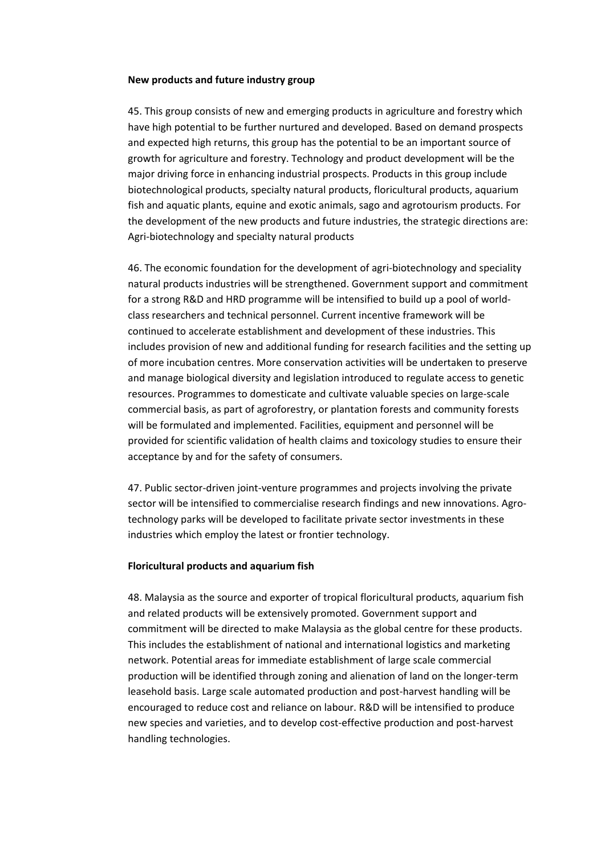#### **New products and future industry group**

45. This group consists of new and emerging products in agriculture and forestry which have high potential to be further nurtured and developed. Based on demand prospects and expected high returns, this group has the potential to be an important source of growth for agriculture and forestry. Technology and product development will be the major driving force in enhancing industrial prospects. Products in this group include biotechnological products, specialty natural products, floricultural products, aquarium fish and aquatic plants, equine and exotic animals, sago and agrotourism products. For the development of the new products and future industries, the strategic directions are: Agri‐biotechnology and specialty natural products

46. The economic foundation for the development of agri-biotechnology and speciality natural products industries will be strengthened. Government support and commitment for a strong R&D and HRD programme will be intensified to build up a pool of world‐ class researchers and technical personnel. Current incentive framework will be continued to accelerate establishment and development of these industries. This includes provision of new and additional funding for research facilities and the setting up of more incubation centres. More conservation activities will be undertaken to preserve and manage biological diversity and legislation introduced to regulate access to genetic resources. Programmes to domesticate and cultivate valuable species on large‐scale commercial basis, as part of agroforestry, or plantation forests and community forests will be formulated and implemented. Facilities, equipment and personnel will be provided for scientific validation of health claims and toxicology studies to ensure their acceptance by and for the safety of consumers.

47. Public sector-driven joint-venture programmes and projects involving the private sector will be intensified to commercialise research findings and new innovations. Agrotechnology parks will be developed to facilitate private sector investments in these industries which employ the latest or frontier technology.

### **Floricultural products and aquarium fish**

48. Malaysia as the source and exporter of tropical floricultural products, aquarium fish and related products will be extensively promoted. Government support and commitment will be directed to make Malaysia as the global centre for these products. This includes the establishment of national and international logistics and marketing network. Potential areas for immediate establishment of large scale commercial production will be identified through zoning and alienation of land on the longer‐term leasehold basis. Large scale automated production and post‐harvest handling will be encouraged to reduce cost and reliance on labour. R&D will be intensified to produce new species and varieties, and to develop cost‐effective production and post‐harvest handling technologies.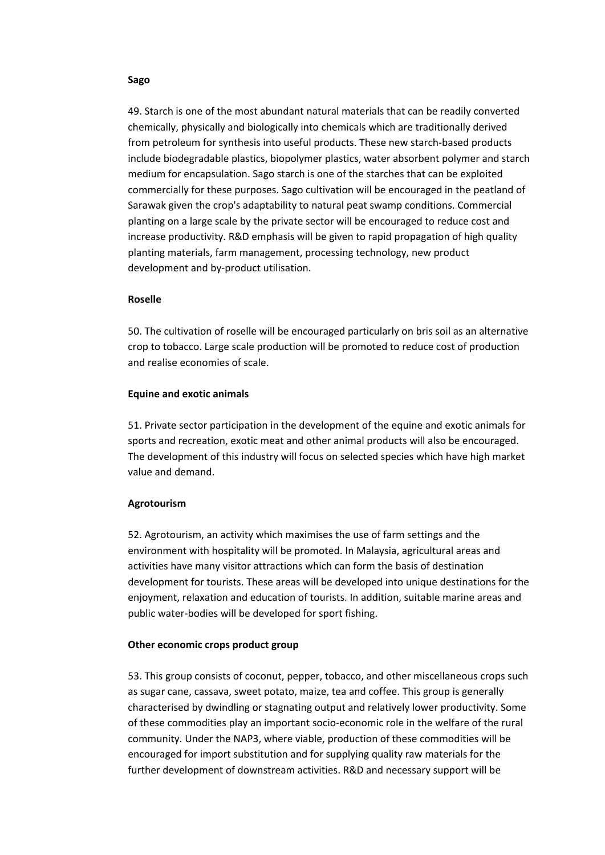#### **Sago**

49. Starch is one of the most abundant natural materials that can be readily converted chemically, physically and biologically into chemicals which are traditionally derived from petroleum for synthesis into useful products. These new starch-based products include biodegradable plastics, biopolymer plastics, water absorbent polymer and starch medium for encapsulation. Sago starch is one of the starches that can be exploited commercially for these purposes. Sago cultivation will be encouraged in the peatland of Sarawak given the crop's adaptability to natural peat swamp conditions. Commercial planting on a large scale by the private sector will be encouraged to reduce cost and increase productivity. R&D emphasis will be given to rapid propagation of high quality planting materials, farm management, processing technology, new product development and by‐product utilisation.

### **Roselle**

50. The cultivation of roselle will be encouraged particularly on bris soil as an alternative crop to tobacco. Large scale production will be promoted to reduce cost of production and realise economies of scale.

## **Equine and exotic animals**

51. Private sector participation in the development of the equine and exotic animals for sports and recreation, exotic meat and other animal products will also be encouraged. The development of this industry will focus on selected species which have high market value and demand.

### **Agrotourism**

52. Agrotourism, an activity which maximises the use of farm settings and the environment with hospitality will be promoted. In Malaysia, agricultural areas and activities have many visitor attractions which can form the basis of destination development for tourists. These areas will be developed into unique destinations for the enjoyment, relaxation and education of tourists. In addition, suitable marine areas and public water‐bodies will be developed for sport fishing.

### **Other economic crops product group**

53. This group consists of coconut, pepper, tobacco, and other miscellaneous crops such as sugar cane, cassava, sweet potato, maize, tea and coffee. This group is generally characterised by dwindling or stagnating output and relatively lower productivity. Some of these commodities play an important socio‐economic role in the welfare of the rural community. Under the NAP3, where viable, production of these commodities will be encouraged for import substitution and for supplying quality raw materials for the further development of downstream activities. R&D and necessary support will be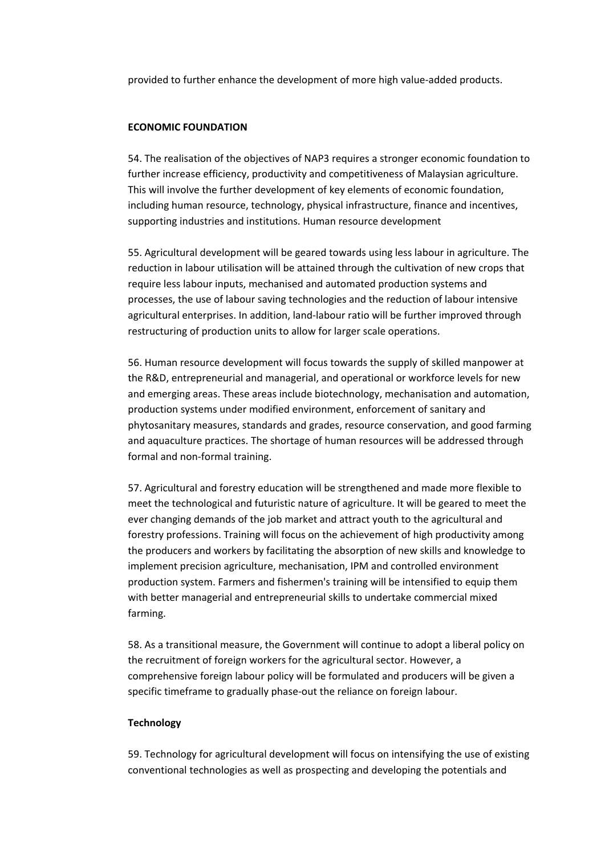provided to further enhance the development of more high value‐added products.

# **ECONOMIC FOUNDATION**

54. The realisation of the objectives of NAP3 requires a stronger economic foundation to further increase efficiency, productivity and competitiveness of Malaysian agriculture. This will involve the further development of key elements of economic foundation, including human resource, technology, physical infrastructure, finance and incentives, supporting industries and institutions. Human resource development

55. Agricultural development will be geared towards using less labour in agriculture. The reduction in labour utilisation will be attained through the cultivation of new crops that require less labour inputs, mechanised and automated production systems and processes, the use of labour saving technologies and the reduction of labour intensive agricultural enterprises. In addition, land‐labour ratio will be further improved through restructuring of production units to allow for larger scale operations.

56. Human resource development will focus towards the supply of skilled manpower at the R&D, entrepreneurial and managerial, and operational or workforce levels for new and emerging areas. These areas include biotechnology, mechanisation and automation, production systems under modified environment, enforcement of sanitary and phytosanitary measures, standards and grades, resource conservation, and good farming and aquaculture practices. The shortage of human resources will be addressed through formal and non‐formal training.

57. Agricultural and forestry education will be strengthened and made more flexible to meet the technological and futuristic nature of agriculture. It will be geared to meet the ever changing demands of the job market and attract youth to the agricultural and forestry professions. Training will focus on the achievement of high productivity among the producers and workers by facilitating the absorption of new skills and knowledge to implement precision agriculture, mechanisation, IPM and controlled environment production system. Farmers and fishermen's training will be intensified to equip them with better managerial and entrepreneurial skills to undertake commercial mixed farming.

58. As a transitional measure, the Government will continue to adopt a liberal policy on the recruitment of foreign workers for the agricultural sector. However, a comprehensive foreign labour policy will be formulated and producers will be given a specific timeframe to gradually phase‐out the reliance on foreign labour.

### **Technology**

59. Technology for agricultural development will focus on intensifying the use of existing conventional technologies as well as prospecting and developing the potentials and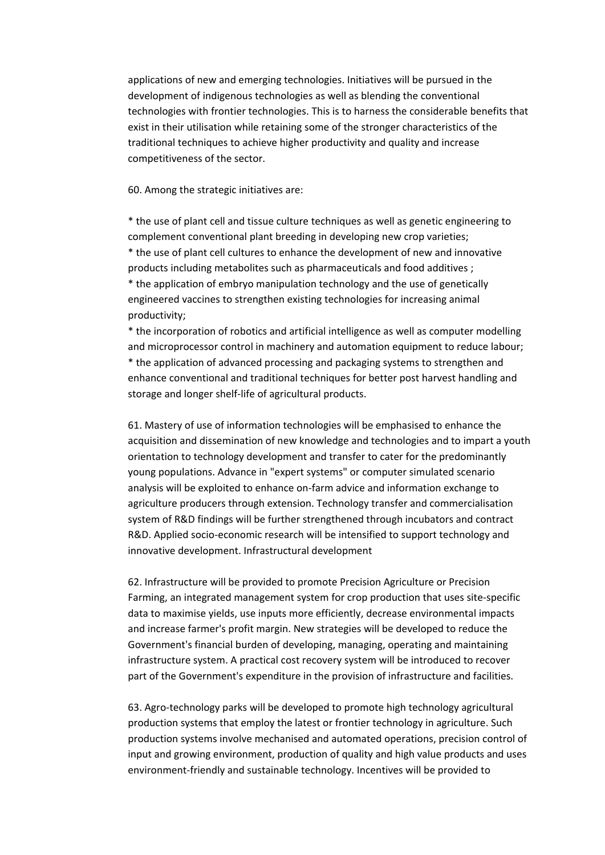applications of new and emerging technologies. Initiatives will be pursued in the development of indigenous technologies as well as blending the conventional technologies with frontier technologies. This is to harness the considerable benefits that exist in their utilisation while retaining some of the stronger characteristics of the traditional techniques to achieve higher productivity and quality and increase competitiveness of the sector.

#### 60. Among the strategic initiatives are:

\* the use of plant cell and tissue culture techniques as well as genetic engineering to complement conventional plant breeding in developing new crop varieties; \* the use of plant cell cultures to enhance the development of new and innovative products including metabolites such as pharmaceuticals and food additives ; \* the application of embryo manipulation technology and the use of genetically engineered vaccines to strengthen existing technologies for increasing animal productivity;

\* the incorporation of robotics and artificial intelligence as well as computer modelling and microprocessor control in machinery and automation equipment to reduce labour; \* the application of advanced processing and packaging systems to strengthen and enhance conventional and traditional techniques for better post harvest handling and storage and longer shelf‐life of agricultural products.

61. Mastery of use of information technologies will be emphasised to enhance the acquisition and dissemination of new knowledge and technologies and to impart a youth orientation to technology development and transfer to cater for the predominantly young populations. Advance in "expert systems" or computer simulated scenario analysis will be exploited to enhance on‐farm advice and information exchange to agriculture producers through extension. Technology transfer and commercialisation system of R&D findings will be further strengthened through incubators and contract R&D. Applied socio‐economic research will be intensified to support technology and innovative development. Infrastructural development

62. Infrastructure will be provided to promote Precision Agriculture or Precision Farming, an integrated management system for crop production that uses site-specific data to maximise yields, use inputs more efficiently, decrease environmental impacts and increase farmer's profit margin. New strategies will be developed to reduce the Government's financial burden of developing, managing, operating and maintaining infrastructure system. A practical cost recovery system will be introduced to recover part of the Government's expenditure in the provision of infrastructure and facilities.

63. Agro‐technology parks will be developed to promote high technology agricultural production systems that employ the latest or frontier technology in agriculture. Such production systems involve mechanised and automated operations, precision control of input and growing environment, production of quality and high value products and uses environment‐friendly and sustainable technology. Incentives will be provided to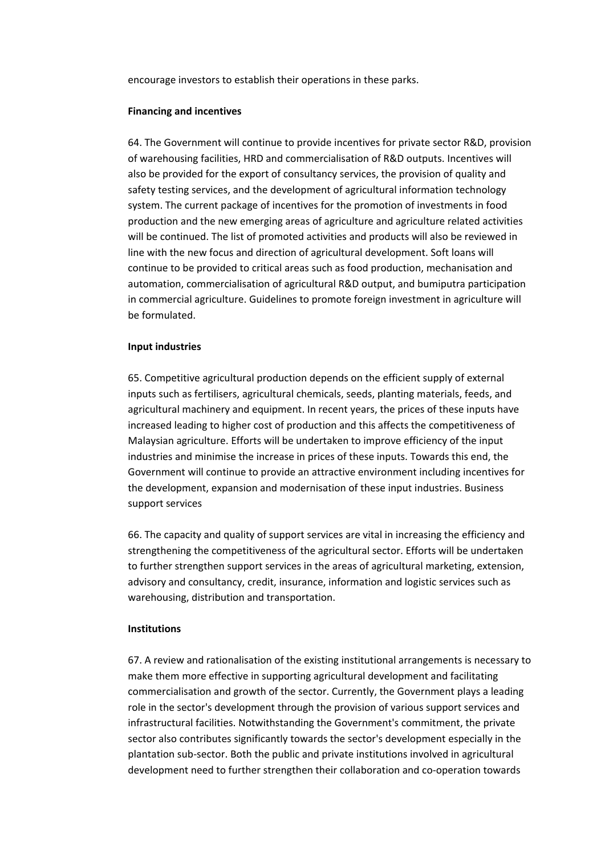encourage investors to establish their operations in these parks.

#### **Financing and incentives**

64. The Government will continue to provide incentives for private sector R&D, provision of warehousing facilities, HRD and commercialisation of R&D outputs. Incentives will also be provided for the export of consultancy services, the provision of quality and safety testing services, and the development of agricultural information technology system. The current package of incentives for the promotion of investments in food production and the new emerging areas of agriculture and agriculture related activities will be continued. The list of promoted activities and products will also be reviewed in line with the new focus and direction of agricultural development. Soft loans will continue to be provided to critical areas such as food production, mechanisation and automation, commercialisation of agricultural R&D output, and bumiputra participation in commercial agriculture. Guidelines to promote foreign investment in agriculture will be formulated.

#### **Input industries**

65. Competitive agricultural production depends on the efficient supply of external inputs such as fertilisers, agricultural chemicals, seeds, planting materials, feeds, and agricultural machinery and equipment. In recent years, the prices of these inputs have increased leading to higher cost of production and this affects the competitiveness of Malaysian agriculture. Efforts will be undertaken to improve efficiency of the input industries and minimise the increase in prices of these inputs. Towards this end, the Government will continue to provide an attractive environment including incentives for the development, expansion and modernisation of these input industries. Business support services

66. The capacity and quality of support services are vital in increasing the efficiency and strengthening the competitiveness of the agricultural sector. Efforts will be undertaken to further strengthen support services in the areas of agricultural marketing, extension, advisory and consultancy, credit, insurance, information and logistic services such as warehousing, distribution and transportation.

#### **Institutions**

67. A review and rationalisation of the existing institutional arrangements is necessary to make them more effective in supporting agricultural development and facilitating commercialisation and growth of the sector. Currently, the Government plays a leading role in the sector's development through the provision of various support services and infrastructural facilities. Notwithstanding the Government's commitment, the private sector also contributes significantly towards the sector's development especially in the plantation sub‐sector. Both the public and private institutions involved in agricultural development need to further strengthen their collaboration and co-operation towards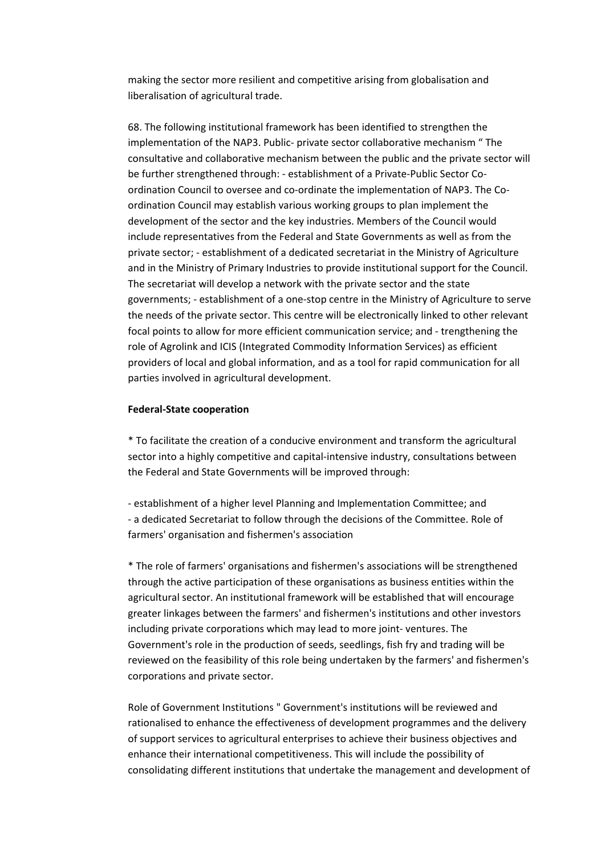making the sector more resilient and competitive arising from globalisation and liberalisation of agricultural trade.

68. The following institutional framework has been identified to strengthen the implementation of the NAP3. Public‐ private sector collaborative mechanism " The consultative and collaborative mechanism between the public and the private sector will be further strengthened through: ‐ establishment of a Private‐Public Sector Co‐ ordination Council to oversee and co-ordinate the implementation of NAP3. The Coordination Council may establish various working groups to plan implement the development of the sector and the key industries. Members of the Council would include representatives from the Federal and State Governments as well as from the private sector; ‐ establishment of a dedicated secretariat in the Ministry of Agriculture and in the Ministry of Primary Industries to provide institutional support for the Council. The secretariat will develop a network with the private sector and the state governments; ‐ establishment of a one‐stop centre in the Ministry of Agriculture to serve the needs of the private sector. This centre will be electronically linked to other relevant focal points to allow for more efficient communication service; and ‐ trengthening the role of Agrolink and ICIS (Integrated Commodity Information Services) as efficient providers of local and global information, and as a tool for rapid communication for all parties involved in agricultural development.

### **Federal‐State cooperation**

\* To facilitate the creation of a conducive environment and transform the agricultural sector into a highly competitive and capital-intensive industry, consultations between the Federal and State Governments will be improved through:

‐ establishment of a higher level Planning and Implementation Committee; and ‐ a dedicated Secretariat to follow through the decisions of the Committee. Role of farmers' organisation and fishermen's association

\* The role of farmers' organisations and fishermen's associations will be strengthened through the active participation of these organisations as business entities within the agricultural sector. An institutional framework will be established that will encourage greater linkages between the farmers' and fishermen's institutions and other investors including private corporations which may lead to more joint‐ ventures. The Government's role in the production of seeds, seedlings, fish fry and trading will be reviewed on the feasibility of this role being undertaken by the farmers' and fishermen's corporations and private sector.

Role of Government Institutions " Government's institutions will be reviewed and rationalised to enhance the effectiveness of development programmes and the delivery of support services to agricultural enterprises to achieve their business objectives and enhance their international competitiveness. This will include the possibility of consolidating different institutions that undertake the management and development of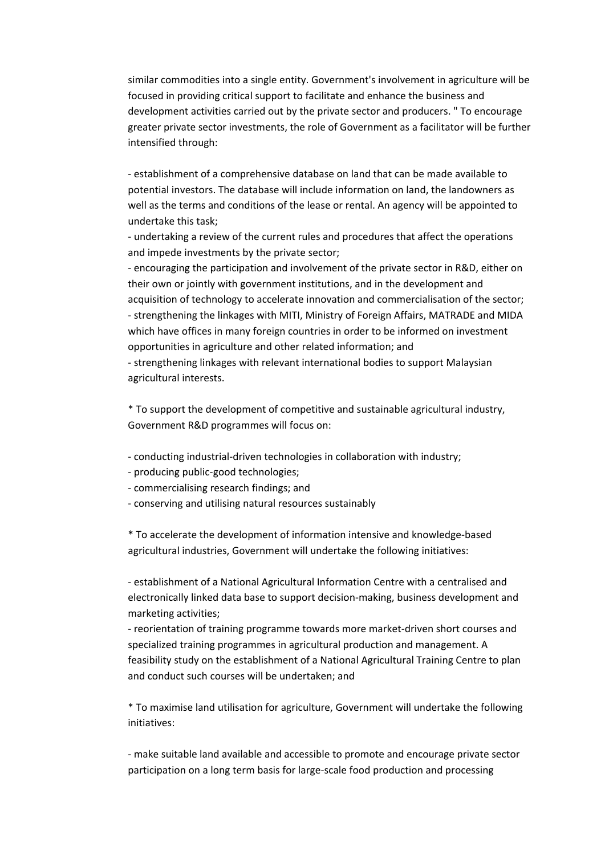similar commodities into a single entity. Government's involvement in agriculture will be focused in providing critical support to facilitate and enhance the business and development activities carried out by the private sector and producers. " To encourage greater private sector investments, the role of Government as a facilitator will be further intensified through:

‐ establishment of a comprehensive database on land that can be made available to potential investors. The database will include information on land, the landowners as well as the terms and conditions of the lease or rental. An agency will be appointed to undertake this task;

‐ undertaking a review of the current rules and procedures that affect the operations and impede investments by the private sector;

‐ encouraging the participation and involvement of the private sector in R&D, either on their own or jointly with government institutions, and in the development and acquisition of technology to accelerate innovation and commercialisation of the sector; ‐ strengthening the linkages with MITI, Ministry of Foreign Affairs, MATRADE and MIDA which have offices in many foreign countries in order to be informed on investment opportunities in agriculture and other related information; and

‐ strengthening linkages with relevant international bodies to support Malaysian agricultural interests.

\* To support the development of competitive and sustainable agricultural industry, Government R&D programmes will focus on:

- ‐ conducting industrial‐driven technologies in collaboration with industry;
- ‐ producing public‐good technologies;
- ‐ commercialising research findings; and
- ‐ conserving and utilising natural resources sustainably

\* To accelerate the development of information intensive and knowledge‐based agricultural industries, Government will undertake the following initiatives:

‐ establishment of a National Agricultural Information Centre with a centralised and electronically linked data base to support decision‐making, business development and marketing activities;

‐ reorientation of training programme towards more market‐driven short courses and specialized training programmes in agricultural production and management. A feasibility study on the establishment of a National Agricultural Training Centre to plan and conduct such courses will be undertaken; and

\* To maximise land utilisation for agriculture, Government will undertake the following initiatives:

‐ make suitable land available and accessible to promote and encourage private sector participation on a long term basis for large‐scale food production and processing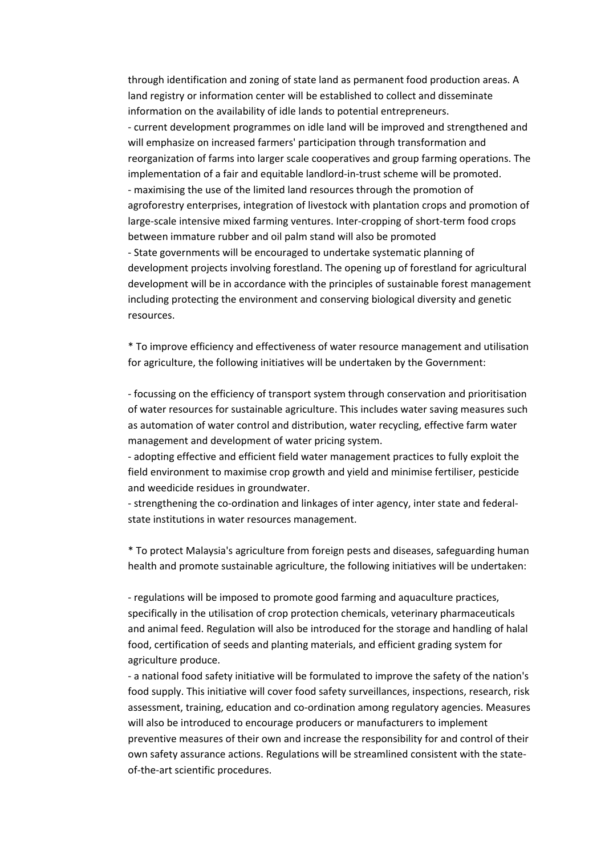through identification and zoning of state land as permanent food production areas. A land registry or information center will be established to collect and disseminate information on the availability of idle lands to potential entrepreneurs. ‐ current development programmes on idle land will be improved and strengthened and will emphasize on increased farmers' participation through transformation and reorganization of farms into larger scale cooperatives and group farming operations. The implementation of a fair and equitable landlord-in-trust scheme will be promoted. ‐ maximising the use of the limited land resources through the promotion of agroforestry enterprises, integration of livestock with plantation crops and promotion of large-scale intensive mixed farming ventures. Inter-cropping of short-term food crops between immature rubber and oil palm stand will also be promoted ‐ State governments will be encouraged to undertake systematic planning of development projects involving forestland. The opening up of forestland for agricultural development will be in accordance with the principles of sustainable forest management including protecting the environment and conserving biological diversity and genetic resources.

\* To improve efficiency and effectiveness of water resource management and utilisation for agriculture, the following initiatives will be undertaken by the Government:

‐ focussing on the efficiency of transport system through conservation and prioritisation of water resources for sustainable agriculture. This includes water saving measures such as automation of water control and distribution, water recycling, effective farm water management and development of water pricing system.

‐ adopting effective and efficient field water management practices to fully exploit the field environment to maximise crop growth and yield and minimise fertiliser, pesticide and weedicide residues in groundwater.

‐ strengthening the co‐ordination and linkages of inter agency, inter state and federal‐ state institutions in water resources management.

\* To protect Malaysia's agriculture from foreign pests and diseases, safeguarding human health and promote sustainable agriculture, the following initiatives will be undertaken:

‐ regulations will be imposed to promote good farming and aquaculture practices, specifically in the utilisation of crop protection chemicals, veterinary pharmaceuticals and animal feed. Regulation will also be introduced for the storage and handling of halal food, certification of seeds and planting materials, and efficient grading system for agriculture produce.

‐ a national food safety initiative will be formulated to improve the safety of the nation's food supply. This initiative will cover food safety surveillances, inspections, research, risk assessment, training, education and co-ordination among regulatory agencies. Measures will also be introduced to encourage producers or manufacturers to implement preventive measures of their own and increase the responsibility for and control of their own safety assurance actions. Regulations will be streamlined consistent with the state‐ of-the-art scientific procedures.